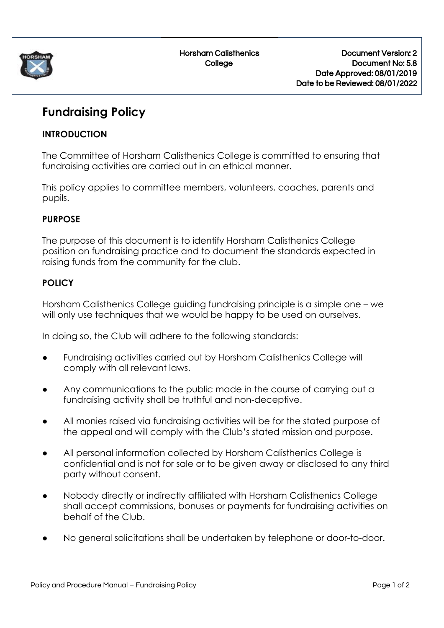

Horsham Calisthenics **College** 

# **Fundraising Policy**

### **INTRODUCTION**

The Committee of Horsham Calisthenics College is committed to ensuring that fundraising activities are carried out in an ethical manner.

This policy applies to committee members, volunteers, coaches, parents and pupils.

### **PURPOSE**

The purpose of this document is to identify Horsham Calisthenics College position on fundraising practice and to document the standards expected in raising funds from the community for the club.

## **POLICY**

Horsham Calisthenics College guiding fundraising principle is a simple one – we will only use techniques that we would be happy to be used on ourselves.

In doing so, the Club will adhere to the following standards:

- Fundraising activities carried out by Horsham Calisthenics College will comply with all relevant laws.
- Any communications to the public made in the course of carrying out a fundraising activity shall be truthful and non-deceptive.
- All monies raised via fundraising activities will be for the stated purpose of the appeal and will comply with the Club's stated mission and purpose.
- All personal information collected by Horsham Calisthenics College is confidential and is not for sale or to be given away or disclosed to any third party without consent.
- **●** Nobody directly or indirectly affiliated with Horsham Calisthenics College shall accept commissions, bonuses or payments for fundraising activities on behalf of the Club.
- **●** No general solicitations shall be undertaken by telephone or door-to-door.